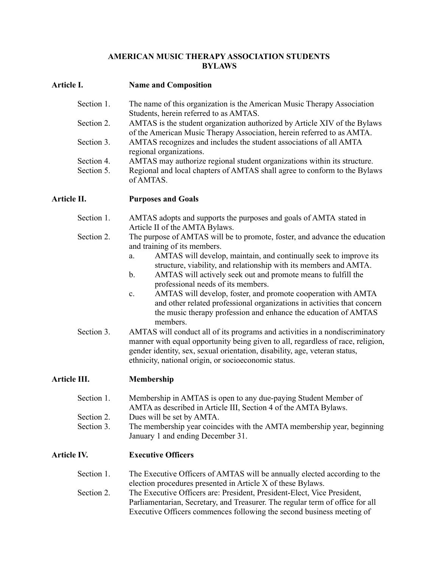#### **AMERICAN MUSIC THERAPY ASSOCIATION STUDENTS BYLAWS**

### **Article I. Name and Composition**

| Section 1. | The name of this organization is the American Music Therapy Association                                             |
|------------|---------------------------------------------------------------------------------------------------------------------|
| Section 2. | Students, herein referred to as AMTAS.<br>AMTAS is the student organization authorized by Article XIV of the Bylaws |
|            | of the American Music Therapy Association, herein referred to as AMTA.                                              |
| Section 3. | AMTAS recognizes and includes the student associations of all AMTA<br>regional organizations.                       |
| Section 4. | AMTAS may authorize regional student organizations within its structure.                                            |
| Section 5. | Regional and local chapters of AMTAS shall agree to conform to the Bylaws<br>of AMTAS.                              |

**Article II. Purposes and Goals**

- Section 1. AMTAS adopts and supports the purposes and goals of AMTA stated in Article II of the AMTA Bylaws.
- Section 2. The purpose of AMTAS will be to promote, foster, and advance the education and training of its members.
	- a. AMTAS will develop, maintain, and continually seek to improve its structure, viability, and relationship with its members and AMTA.
	- b. AMTAS will actively seek out and promote means to fulfill the professional needs of its members.
	- c. AMTAS will develop, foster, and promote cooperation with AMTA and other related professional organizations in activities that concern the music therapy profession and enhance the education of AMTAS members.
- Section 3. AMTAS will conduct all of its programs and activities in a nondiscriminatory manner with equal opportunity being given to all, regardless of race, religion, gender identity, sex, sexual orientation, disability, age, veteran status, ethnicity, national origin, or socioeconomic status.

# **Article III. Membership**

| Section 1. | Membership in AMTAS is open to any due-paying Student Member of |
|------------|-----------------------------------------------------------------|
|            | AMTA as described in Article III, Section 4 of the AMTA Bylaws. |
| Section 2. | Dues will be set by AMTA.                                       |

Section 3. The membership year coincides with the AMTA membership year, beginning January 1 and ending December 31.

# **Article IV. Executive Officers**

| Section 1. | The Executive Officers of AMTAS will be annually elected according to the     |
|------------|-------------------------------------------------------------------------------|
|            | election procedures presented in Article X of these Bylaws.                   |
| Section 2. | The Executive Officers are: President, President-Elect, Vice President,       |
|            | Parliamentarian, Secretary, and Treasurer. The regular term of office for all |
|            | Executive Officers commences following the second business meeting of         |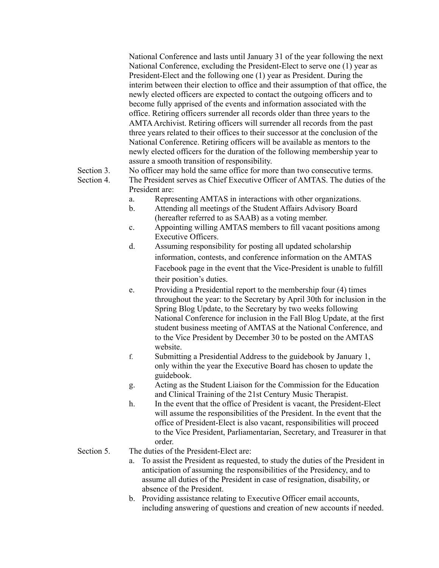National Conference and lasts until January 31 of the year following the next National Conference, excluding the President-Elect to serve one (1) year as President-Elect and the following one (1) year as President. During the interim between their election to office and their assumption of that office, the newly elected officers are expected to contact the outgoing officers and to become fully apprised of the events and information associated with the office. Retiring officers surrender all records older than three years to the AMTAArchivist. Retiring officers will surrender all records from the past three years related to their offices to their successor at the conclusion of the National Conference. Retiring officers will be available as mentors to the newly elected officers for the duration of the following membership year to assure a smooth transition of responsibility.

Section 3. No officer may hold the same office for more than two consecutive terms.

- Section 4. The President serves as Chief Executive Officer of AMTAS. The duties of the President are:
	- a. Representing AMTAS in interactions with other organizations.
	- b. Attending all meetings of the Student Affairs Advisory Board (hereafter referred to as SAAB) as a voting member.
	- c. Appointing willing AMTAS members to fill vacant positions among Executive Officers.
	- d. Assuming responsibility for posting all updated scholarship information, contests, and conference information on the AMTAS Facebook page in the event that the Vice-President is unable to fulfill their position's duties.
	- e. Providing a Presidential report to the membership four (4) times throughout the year: to the Secretary by April 30th for inclusion in the Spring Blog Update, to the Secretary by two weeks following National Conference for inclusion in the Fall Blog Update, at the first student business meeting of AMTAS at the National Conference, and to the Vice President by December 30 to be posted on the AMTAS website.
	- f. Submitting a Presidential Address to the guidebook by January 1, only within the year the Executive Board has chosen to update the guidebook.
	- g. Acting as the Student Liaison for the Commission for the Education and Clinical Training of the 21st Century Music Therapist.
	- h. In the event that the office of President is vacant, the President-Elect will assume the responsibilities of the President. In the event that the office of President-Elect is also vacant, responsibilities will proceed to the Vice President, Parliamentarian, Secretary, and Treasurer in that order.

#### Section 5. The duties of the President-Elect are:

- a. To assist the President as requested, to study the duties of the President in anticipation of assuming the responsibilities of the Presidency, and to assume all duties of the President in case of resignation, disability, or absence of the President.
- b. Providing assistance relating to Executive Officer email accounts, including answering of questions and creation of new accounts if needed.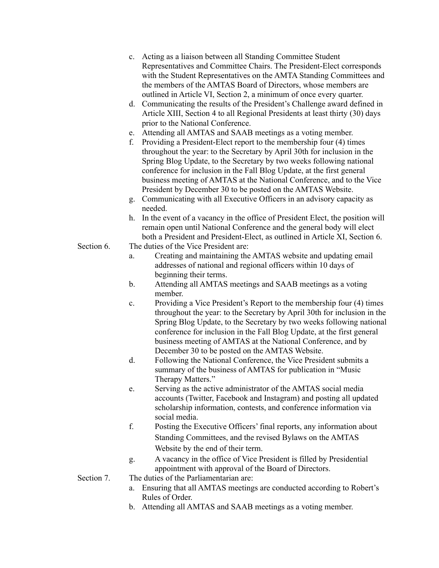- c. Acting as a liaison between all Standing Committee Student Representatives and Committee Chairs. The President-Elect corresponds with the Student Representatives on the AMTA Standing Committees and the members of the AMTAS Board of Directors, whose members are outlined in Article VI, Section 2, a minimum of once every quarter.
- d. Communicating the results of the President's Challenge award defined in Article XIII, Section 4 to all Regional Presidents at least thirty (30) days prior to the National Conference.
- e. Attending all AMTAS and SAAB meetings as a voting member.
- f. Providing a President-Elect report to the membership four (4) times throughout the year: to the Secretary by April 30th for inclusion in the Spring Blog Update, to the Secretary by two weeks following national conference for inclusion in the Fall Blog Update, at the first general business meeting of AMTAS at the National Conference, and to the Vice President by December 30 to be posted on the AMTAS Website.
- g. Communicating with all Executive Officers in an advisory capacity as needed.
- h. In the event of a vacancy in the office of President Elect, the position will remain open until National Conference and the general body will elect both a President and President-Elect, as outlined in Article XI, Section 6.
- Section 6. The duties of the Vice President are:
	- a. Creating and maintaining the AMTAS website and updating email addresses of national and regional officers within 10 days of beginning their terms.
	- b. Attending all AMTAS meetings and SAAB meetings as a voting member.
	- c. Providing a Vice President's Report to the membership four (4) times throughout the year: to the Secretary by April 30th for inclusion in the Spring Blog Update, to the Secretary by two weeks following national conference for inclusion in the Fall Blog Update, at the first general business meeting of AMTAS at the National Conference, and by December 30 to be posted on the AMTAS Website.
	- d. Following the National Conference, the Vice President submits a summary of the business of AMTAS for publication in "Music Therapy Matters."
	- e. Serving as the active administrator of the AMTAS social media accounts (Twitter, Facebook and Instagram) and posting all updated scholarship information, contests, and conference information via social media.
	- f. Posting the Executive Officers' final reports, any information about Standing Committees, and the revised Bylaws on the AMTAS Website by the end of their term.
	- g. A vacancy in the office of Vice President is filled by Presidential appointment with approval of the Board of Directors.

Section 7. The duties of the Parliamentarian are:

- a. Ensuring that all AMTAS meetings are conducted according to Robert's Rules of Order.
- b. Attending all AMTAS and SAAB meetings as a voting member.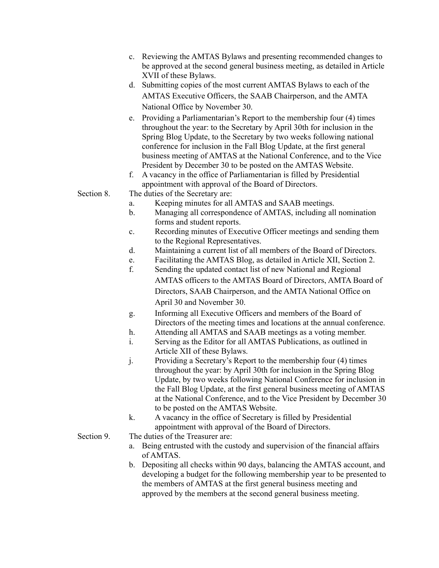- c. Reviewing the AMTAS Bylaws and presenting recommended changes to be approved at the second general business meeting, as detailed in Article XVII of these Bylaws.
- d. Submitting copies of the most current AMTAS Bylaws to each of the AMTAS Executive Officers, the SAAB Chairperson, and the AMTA National Office by November 30.
- e. Providing a Parliamentarian's Report to the membership four (4) times throughout the year: to the Secretary by April 30th for inclusion in the Spring Blog Update, to the Secretary by two weeks following national conference for inclusion in the Fall Blog Update, at the first general business meeting of AMTAS at the National Conference, and to the Vice President by December 30 to be posted on the AMTAS Website.
- f. A vacancy in the office of Parliamentarian is filled by Presidential appointment with approval of the Board of Directors.
- Section 8. The duties of the Secretary are:
	- a. Keeping minutes for all AMTAS and SAAB meetings.
	- b. Managing all correspondence of AMTAS, including all nomination forms and student reports.
	- c. Recording minutes of Executive Officer meetings and sending them to the Regional Representatives.
	- d. Maintaining a current list of all members of the Board of Directors.
	- e. Facilitating the AMTAS Blog, as detailed in Article XII, Section 2.
	- f. Sending the updated contact list of new National and Regional AMTAS officers to the AMTAS Board of Directors, AMTA Board of Directors, SAAB Chairperson, and the AMTA National Office on April 30 and November 30.
	- g. Informing all Executive Officers and members of the Board of Directors of the meeting times and locations at the annual conference.
	- h. Attending all AMTAS and SAAB meetings as a voting member.
	- i. Serving as the Editor for all AMTAS Publications, as outlined in Article XII of these Bylaws.
	- j. Providing a Secretary's Report to the membership four (4) times throughout the year: by April 30th for inclusion in the Spring Blog Update, by two weeks following National Conference for inclusion in the Fall Blog Update, at the first general business meeting of AMTAS at the National Conference, and to the Vice President by December 30 to be posted on the AMTAS Website.
	- k. A vacancy in the office of Secretary is filled by Presidential appointment with approval of the Board of Directors.
- Section 9. The duties of the Treasurer are:
	- a. Being entrusted with the custody and supervision of the financial affairs of AMTAS.
	- b. Depositing all checks within 90 days, balancing the AMTAS account, and developing a budget for the following membership year to be presented to the members of AMTAS at the first general business meeting and approved by the members at the second general business meeting.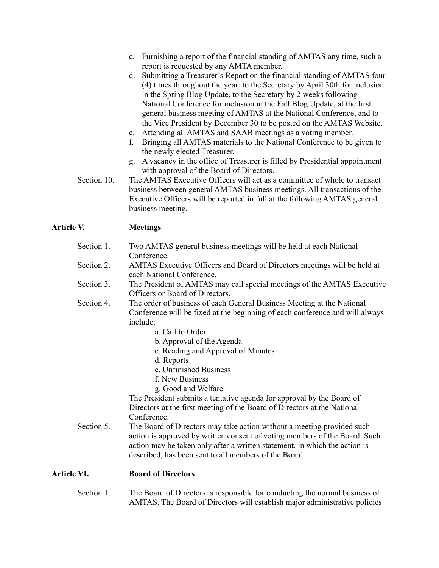- c. Furnishing a report of the financial standing of AMTAS any time, such a report is requested by any AMTA member.
- d. Submitting a Treasurer's Report on the financial standing of AMTAS four (4) times throughout the year: to the Secretary by April 30th for inclusion in the Spring Blog Update, to the Secretary by 2 weeks following National Conference for inclusion in the Fall Blog Update, at the first general business meeting of AMTAS at the National Conference, and to the Vice President by December 30 to be posted on the AMTAS Website.
- e. Attending all AMTAS and SAAB meetings as a voting member.
- f. Bringing all AMTAS materials to the National Conference to be given to the newly elected Treasurer.
- g. A vacancy in the office of Treasurer is filled by Presidential appointment with approval of the Board of Directors.
- Section 10. The AMTAS Executive Officers will act as a committee of whole to transact business between general AMTAS business meetings. All transactions of the Executive Officers will be reported in full at the following AMTAS general business meeting.

### **Article V. Meetings**

| Section 1.  | Two AMTAS general business meetings will be held at each National<br>Conference.                                                                                                                                                                                                            |
|-------------|---------------------------------------------------------------------------------------------------------------------------------------------------------------------------------------------------------------------------------------------------------------------------------------------|
| Section 2.  | AMTAS Executive Officers and Board of Directors meetings will be held at<br>each National Conference.                                                                                                                                                                                       |
| Section 3.  | The President of AMTAS may call special meetings of the AMTAS Executive<br>Officers or Board of Directors.                                                                                                                                                                                  |
| Section 4.  | The order of business of each General Business Meeting at the National<br>Conference will be fixed at the beginning of each conference and will always<br>include:                                                                                                                          |
|             | a. Call to Order                                                                                                                                                                                                                                                                            |
|             | b. Approval of the Agenda                                                                                                                                                                                                                                                                   |
|             | c. Reading and Approval of Minutes                                                                                                                                                                                                                                                          |
|             | d. Reports                                                                                                                                                                                                                                                                                  |
|             | e. Unfinished Business                                                                                                                                                                                                                                                                      |
|             | f. New Business                                                                                                                                                                                                                                                                             |
|             | g. Good and Welfare                                                                                                                                                                                                                                                                         |
|             | The President submits a tentative agenda for approval by the Board of                                                                                                                                                                                                                       |
|             | Directors at the first meeting of the Board of Directors at the National                                                                                                                                                                                                                    |
|             | Conference.                                                                                                                                                                                                                                                                                 |
| Section 5.  | The Board of Directors may take action without a meeting provided such<br>action is approved by written consent of voting members of the Board. Such<br>action may be taken only after a written statement, in which the action is<br>described, has been sent to all members of the Board. |
| Article VI. | <b>Board of Directors</b>                                                                                                                                                                                                                                                                   |

Section 1. The Board of Directors is responsible for conducting the normal business of AMTAS. The Board of Directors will establish major administrative policies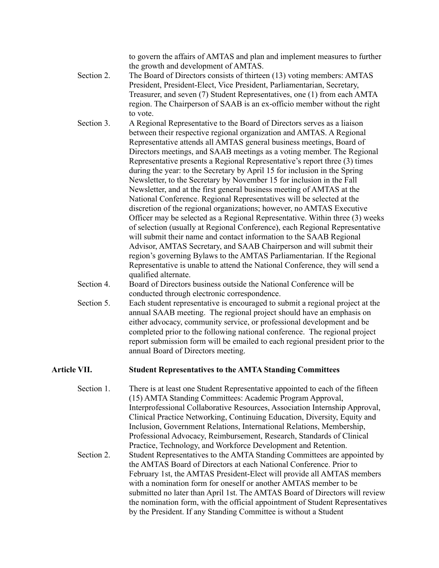to govern the affairs of AMTAS and plan and implement measures to further the growth and development of AMTAS.

- Section 2. The Board of Directors consists of thirteen (13) voting members: AMTAS President, President-Elect, Vice President, Parliamentarian, Secretary, Treasurer, and seven (7) Student Representatives, one (1) from each AMTA region. The Chairperson of SAAB is an ex-officio member without the right to vote.
- Section 3. A Regional Representative to the Board of Directors serves as a liaison between their respective regional organization and AMTAS. A Regional Representative attends all AMTAS general business meetings, Board of Directors meetings, and SAAB meetings as a voting member. The Regional Representative presents a Regional Representative's report three (3) times during the year: to the Secretary by April 15 for inclusion in the Spring Newsletter, to the Secretary by November 15 for inclusion in the Fall Newsletter, and at the first general business meeting of AMTAS at the National Conference. Regional Representatives will be selected at the discretion of the regional organizations; however, no AMTAS Executive Officer may be selected as a Regional Representative. Within three (3) weeks of selection (usually at Regional Conference), each Regional Representative will submit their name and contact information to the SAAB Regional Advisor, AMTAS Secretary, and SAAB Chairperson and will submit their region's governing Bylaws to the AMTAS Parliamentarian. If the Regional Representative is unable to attend the National Conference, they will send a qualified alternate.
- Section 4. Board of Directors business outside the National Conference will be conducted through electronic correspondence.
- Section 5. Each student representative is encouraged to submit a regional project at the annual SAAB meeting. The regional project should have an emphasis on either advocacy, community service, or professional development and be completed prior to the following national conference. The regional project report submission form will be emailed to each regional president prior to the annual Board of Directors meeting.

#### **Article VII. Student Representatives to the AMTA Standing Committees**

Section 1. There is at least one Student Representative appointed to each of the fifteen (15) AMTA Standing Committees: Academic Program Approval, Interprofessional Collaborative Resources, Association Internship Approval, Clinical Practice Networking, Continuing Education, Diversity, Equity and Inclusion, Government Relations, International Relations, Membership, Professional Advocacy, Reimbursement, Research, Standards of Clinical Practice, Technology, and Workforce Development and Retention. Section 2. Student Representatives to the AMTA Standing Committees are appointed by the AMTAS Board of Directors at each National Conference. Prior to February 1st, the AMTAS President-Elect will provide all AMTAS members with a nomination form for oneself or another AMTAS member to be submitted no later than April 1st. The AMTAS Board of Directors will review the nomination form, with the official appointment of Student Representatives by the President. If any Standing Committee is without a Student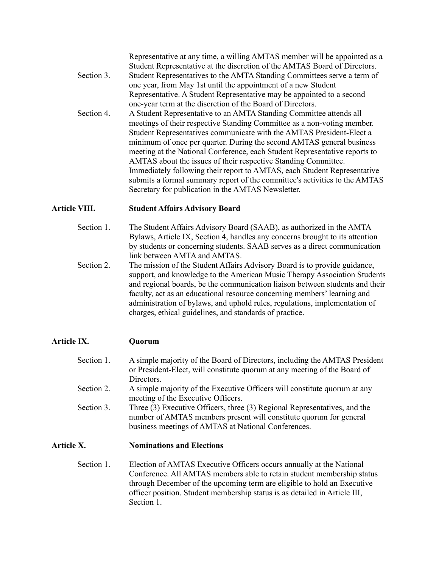Representative at any time, a willing AMTAS member will be appointed as a Student Representative at the discretion of the AMTAS Board of Directors.

- Section 3. Student Representatives to the AMTA Standing Committees serve a term of one year, from May 1st until the appointment of a new Student Representative. A Student Representative may be appointed to a second one-year term at the discretion of the Board of Directors.
- Section 4. A Student Representative to an AMTA Standing Committee attends all meetings of their respective Standing Committee as a non-voting member. Student Representatives communicate with the AMTAS President-Elect a minimum of once per quarter. During the second AMTAS general business meeting at the National Conference, each Student Representative reports to AMTAS about the issues of their respective Standing Committee. Immediately following their report to AMTAS, each Student Representative submits a formal summary report of the committee's activities to the AMTAS Secretary for publication in the AMTAS Newsletter.

### **Article VIII. Student Affairs Advisory Board**

- Section 1. The Student Affairs Advisory Board (SAAB), as authorized in the AMTA Bylaws, Article IX, Section 4, handles any concerns brought to its attention by students or concerning students. SAAB serves as a direct communication link between AMTA and AMTAS.
- Section 2. The mission of the Student Affairs Advisory Board is to provide guidance, support, and knowledge to the American Music Therapy Association Students and regional boards, be the communication liaison between students and their faculty, act as an educational resource concerning members' learning and administration of bylaws, and uphold rules, regulations, implementation of charges, ethical guidelines, and standards of practice.

# **Article IX. Quorum**

- Section 1. A simple majority of the Board of Directors, including the AMTAS President or President-Elect, will constitute quorum at any meeting of the Board of **Directors**
- Section 2. A simple majority of the Executive Officers will constitute quorum at any meeting of the Executive Officers.
- Section 3. Three (3) Executive Officers, three (3) Regional Representatives, and the number of AMTAS members present will constitute quorum for general business meetings of AMTAS at National Conferences.

#### **Article X. Nominations and Elections**

Section 1. Election of AMTAS Executive Officers occurs annually at the National Conference. All AMTAS members able to retain student membership status through December of the upcoming term are eligible to hold an Executive officer position. Student membership status is as detailed in Article III, Section 1.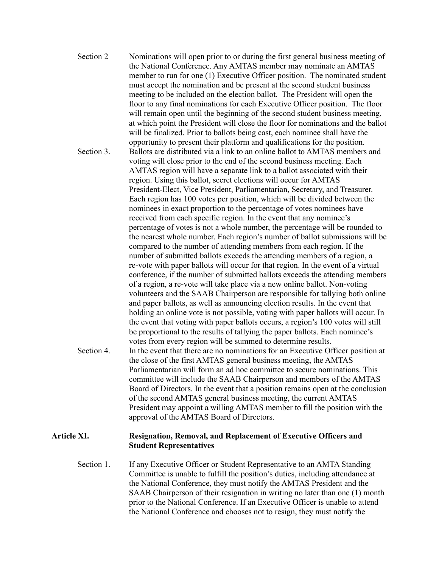Section 2 Nominations will open prior to or during the first general business meeting of the National Conference. Any AMTAS member may nominate an AMTAS member to run for one (1) Executive Officer position. The nominated student must accept the nomination and be present at the second student business meeting to be included on the election ballot. The President will open the floor to any final nominations for each Executive Officer position. The floor will remain open until the beginning of the second student business meeting, at which point the President will close the floor for nominations and the ballot will be finalized. Prior to ballots being cast, each nominee shall have the opportunity to present their platform and qualifications for the position. Section 3. Ballots are distributed via a link to an online ballot to AMTAS members and voting will close prior to the end of the second business meeting. Each AMTAS region will have a separate link to a ballot associated with their region. Using this ballot, secret elections will occur for AMTAS President-Elect, Vice President, Parliamentarian, Secretary, and Treasurer. Each region has 100 votes per position, which will be divided between the nominees in exact proportion to the percentage of votes nominees have received from each specific region. In the event that any nominee's percentage of votes is not a whole number, the percentage will be rounded to the nearest whole number. Each region's number of ballot submissions will be compared to the number of attending members from each region. If the number of submitted ballots exceeds the attending members of a region, a re-vote with paper ballots will occur for that region. In the event of a virtual conference, if the number of submitted ballots exceeds the attending members of a region, a re-vote will take place via a new online ballot. Non-voting volunteers and the SAAB Chairperson are responsible for tallying both online and paper ballots, as well as announcing election results. In the event that holding an online vote is not possible, voting with paper ballots will occur. In the event that voting with paper ballots occurs, a region's 100 votes will still be proportional to the results of tallying the paper ballots. Each nominee's votes from every region will be summed to determine results. Section 4. In the event that there are no nominations for an Executive Officer position at the close of the first AMTAS general business meeting, the AMTAS Parliamentarian will form an ad hoc committee to secure nominations. This committee will include the SAAB Chairperson and members of the AMTAS Board of Directors. In the event that a position remains open at the conclusion of the second AMTAS general business meeting, the current AMTAS President may appoint a willing AMTAS member to fill the position with the approval of the AMTAS Board of Directors.

#### **Article XI. Resignation, Removal, and Replacement of Executive Officers and Student Representatives**

Section 1. If any Executive Officer or Student Representative to an AMTA Standing Committee is unable to fulfill the position's duties, including attendance at the National Conference, they must notify the AMTAS President and the SAAB Chairperson of their resignation in writing no later than one (1) month prior to the National Conference. If an Executive Officer is unable to attend the National Conference and chooses not to resign, they must notify the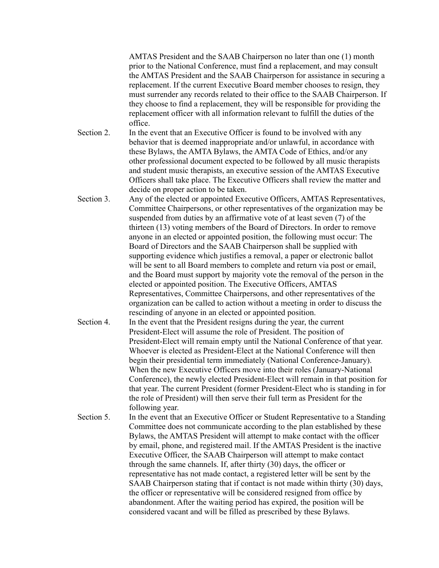AMTAS President and the SAAB Chairperson no later than one (1) month prior to the National Conference, must find a replacement, and may consult the AMTAS President and the SAAB Chairperson for assistance in securing a replacement. If the current Executive Board member chooses to resign, they must surrender any records related to their office to the SAAB Chairperson. If they choose to find a replacement, they will be responsible for providing the replacement officer with all information relevant to fulfill the duties of the office.

- Section 2. In the event that an Executive Officer is found to be involved with any behavior that is deemed inappropriate and/or unlawful, in accordance with these Bylaws, the AMTA Bylaws, the AMTA Code of Ethics, and/or any other professional document expected to be followed by all music therapists and student music therapists, an executive session of the AMTAS Executive Officers shall take place. The Executive Officers shall review the matter and decide on proper action to be taken.
- Section 3. Any of the elected or appointed Executive Officers, AMTAS Representatives, Committee Chairpersons, or other representatives of the organization may be suspended from duties by an affirmative vote of at least seven (7) of the thirteen (13) voting members of the Board of Directors. In order to remove anyone in an elected or appointed position, the following must occur: The Board of Directors and the SAAB Chairperson shall be supplied with supporting evidence which justifies a removal, a paper or electronic ballot will be sent to all Board members to complete and return via post or email, and the Board must support by majority vote the removal of the person in the elected or appointed position. The Executive Officers, AMTAS Representatives, Committee Chairpersons, and other representatives of the organization can be called to action without a meeting in order to discuss the rescinding of anyone in an elected or appointed position.
- Section 4. In the event that the President resigns during the year, the current President-Elect will assume the role of President. The position of President-Elect will remain empty until the National Conference of that year. Whoever is elected as President-Elect at the National Conference will then begin their presidential term immediately (National Conference-January). When the new Executive Officers move into their roles (January-National Conference), the newly elected President-Elect will remain in that position for that year. The current President (former President-Elect who is standing in for the role of President) will then serve their full term as President for the following year.
- Section 5. In the event that an Executive Officer or Student Representative to a Standing Committee does not communicate according to the plan established by these Bylaws, the AMTAS President will attempt to make contact with the officer by email, phone, and registered mail. If the AMTAS President is the inactive Executive Officer, the SAAB Chairperson will attempt to make contact through the same channels. If, after thirty (30) days, the officer or representative has not made contact, a registered letter will be sent by the SAAB Chairperson stating that if contact is not made within thirty (30) days, the officer or representative will be considered resigned from office by abandonment. After the waiting period has expired, the position will be considered vacant and will be filled as prescribed by these Bylaws.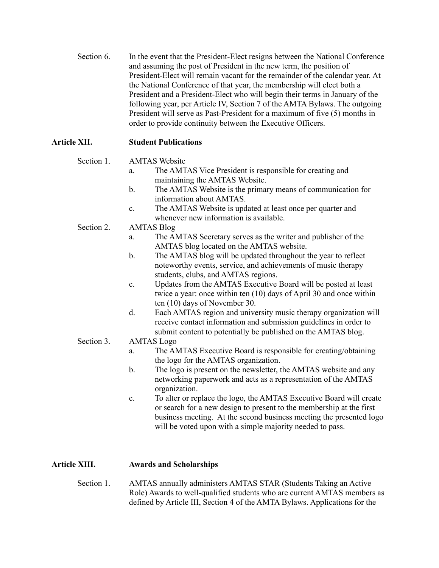Section 6. In the event that the President-Elect resigns between the National Conference and assuming the post of President in the new term, the position of President-Elect will remain vacant for the remainder of the calendar year. At the National Conference of that year, the membership will elect both a President and a President-Elect who will begin their terms in January of the following year, per Article IV, Section 7 of the AMTA Bylaws. The outgoing President will serve as Past-President for a maximum of five (5) months in order to provide continuity between the Executive Officers.

# **Article XII. Student Publications**

- Section 1. AMTAS Website
	- a. The AMTAS Vice President is responsible for creating and maintaining the AMTAS Website.
	- b. The AMTAS Website is the primary means of communication for information about AMTAS
	- c. The AMTAS Website is updated at least once per quarter and whenever new information is available.
- Section 2. AMTAS Blog
	- a. The AMTAS Secretary serves as the writer and publisher of the AMTAS blog located on the AMTAS website.
	- b. The AMTAS blog will be updated throughout the year to reflect noteworthy events, service, and achievements of music therapy students, clubs, and AMTAS regions.
	- c. Updates from the AMTAS Executive Board will be posted at least twice a year: once within ten (10) days of April 30 and once within ten (10) days of November 30.
	- d. Each AMTAS region and university music therapy organization will receive contact information and submission guidelines in order to submit content to potentially be published on the AMTAS blog.

#### Section 3. AMTAS Logo

- a. The AMTAS Executive Board is responsible for creating/obtaining the logo for the AMTAS organization.
- b. The logo is present on the newsletter, the AMTAS website and any networking paperwork and acts as a representation of the AMTAS organization.
- c. To alter or replace the logo, the AMTAS Executive Board will create or search for a new design to present to the membership at the first business meeting. At the second business meeting the presented logo will be voted upon with a simple majority needed to pass.

# **Article XIII. Awards and Scholarships**

Section 1. AMTAS annually administers AMTAS STAR (Students Taking an Active Role) Awards to well-qualified students who are current AMTAS members as defined by Article III, Section 4 of the AMTA Bylaws. Applications for the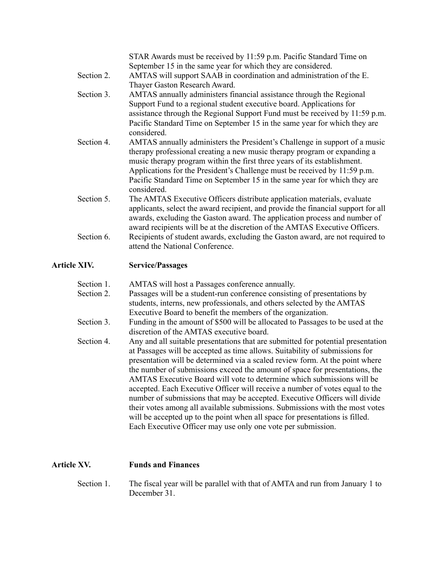STAR Awards must be received by 11:59 p.m. Pacific Standard Time on September 15 in the same year for which they are considered. Section 2. AMTAS will support SAAB in coordination and administration of the E. Thayer Gaston Research Award. Section 3. AMTAS annually administers financial assistance through the Regional Support Fund to a regional student executive board. Applications for assistance through the Regional Support Fund must be received by 11:59 p.m. Pacific Standard Time on September 15 in the same year for which they are considered. Section 4. AMTAS annually administers the President's Challenge in support of a music therapy professional creating a new music therapy program or expanding a music therapy program within the first three years of its establishment. Applications for the President's Challenge must be received by 11:59 p.m. Pacific Standard Time on September 15 in the same year for which they are considered. Section 5. The AMTAS Executive Officers distribute application materials, evaluate applicants, select the award recipient, and provide the financial support for all awards, excluding the Gaston award. The application process and number of award recipients will be at the discretion of the AMTAS Executive Officers. Section 6. Recipients of student awards, excluding the Gaston award, are not required to attend the National Conference.

#### **Article XIV. Service/Passages**

| Section 1. | AMTAS will host a Passages conference annually.                                                                                                                                                                                                                                                                                                                                                                                                                                                                                                                                                                                                                                                                                                                                                        |
|------------|--------------------------------------------------------------------------------------------------------------------------------------------------------------------------------------------------------------------------------------------------------------------------------------------------------------------------------------------------------------------------------------------------------------------------------------------------------------------------------------------------------------------------------------------------------------------------------------------------------------------------------------------------------------------------------------------------------------------------------------------------------------------------------------------------------|
| Section 2. | Passages will be a student-run conference consisting of presentations by<br>students, interns, new professionals, and others selected by the AMTAS                                                                                                                                                                                                                                                                                                                                                                                                                                                                                                                                                                                                                                                     |
|            | Executive Board to benefit the members of the organization.                                                                                                                                                                                                                                                                                                                                                                                                                                                                                                                                                                                                                                                                                                                                            |
| Section 3. | Funding in the amount of \$500 will be allocated to Passages to be used at the<br>discretion of the AMTAS executive board.                                                                                                                                                                                                                                                                                                                                                                                                                                                                                                                                                                                                                                                                             |
| Section 4. | Any and all suitable presentations that are submitted for potential presentation<br>at Passages will be accepted as time allows. Suitability of submissions for<br>presentation will be determined via a scaled review form. At the point where<br>the number of submissions exceed the amount of space for presentations, the<br>AMTAS Executive Board will vote to determine which submissions will be<br>accepted. Each Executive Officer will receive a number of votes equal to the<br>number of submissions that may be accepted. Executive Officers will divide<br>their votes among all available submissions. Submissions with the most votes<br>will be accepted up to the point when all space for presentations is filled.<br>Each Executive Officer may use only one vote per submission. |

#### **Article XV. Funds and Finances**

Section 1. The fiscal year will be parallel with that of AMTA and run from January 1 to December 31.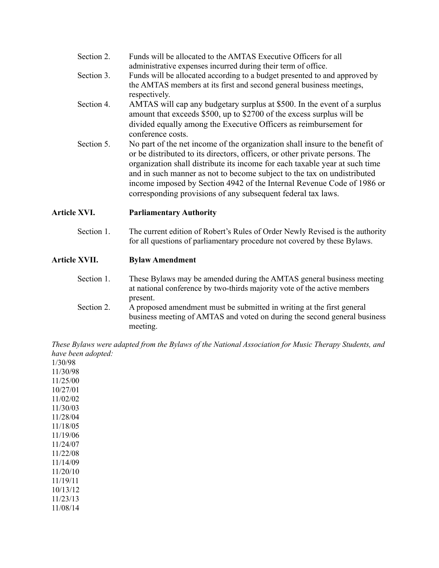| Section 2. | Funds will be allocated to the AMTAS Executive Officers for all |
|------------|-----------------------------------------------------------------|
|            | administrative expenses incurred during their term of office.   |

- Section 3. Funds will be allocated according to a budget presented to and approved by the AMTAS members at its first and second general business meetings, respectively.
- Section 4. AMTAS will cap any budgetary surplus at \$500. In the event of a surplus amount that exceeds \$500, up to \$2700 of the excess surplus will be divided equally among the Executive Officers as reimbursement for conference costs.
- Section 5. No part of the net income of the organization shall insure to the benefit of or be distributed to its directors, officers, or other private persons. The organization shall distribute its income for each taxable year at such time and in such manner as not to become subject to the tax on undistributed income imposed by Section 4942 of the Internal Revenue Code of 1986 or corresponding provisions of any subsequent federal tax laws.

**Article XVI. Parliamentary Authority**

Section 1. The current edition of Robert's Rules of Order Newly Revised is the authority for all questions of parliamentary procedure not covered by these Bylaws.

#### **Article XVII. Bylaw Amendment**

- Section 1. These Bylaws may be amended during the AMTAS general business meeting at national conference by two-thirds majority vote of the active members present.
- Section 2. A proposed amendment must be submitted in writing at the first general business meeting of AMTAS and voted on during the second general business meeting.

*These Bylaws were adapted from the Bylaws of the National Association for Music Therapy Students, and have been adopted:*

1/30/98 11/30/98 11/25/00 10/27/01 11/02/02 11/30/03 11/28/04 11/18/05 11/19/06 11/24/07 11/22/08 11/14/09 11/20/10 11/19/11 10/13/12 11/23/13 11/08/14